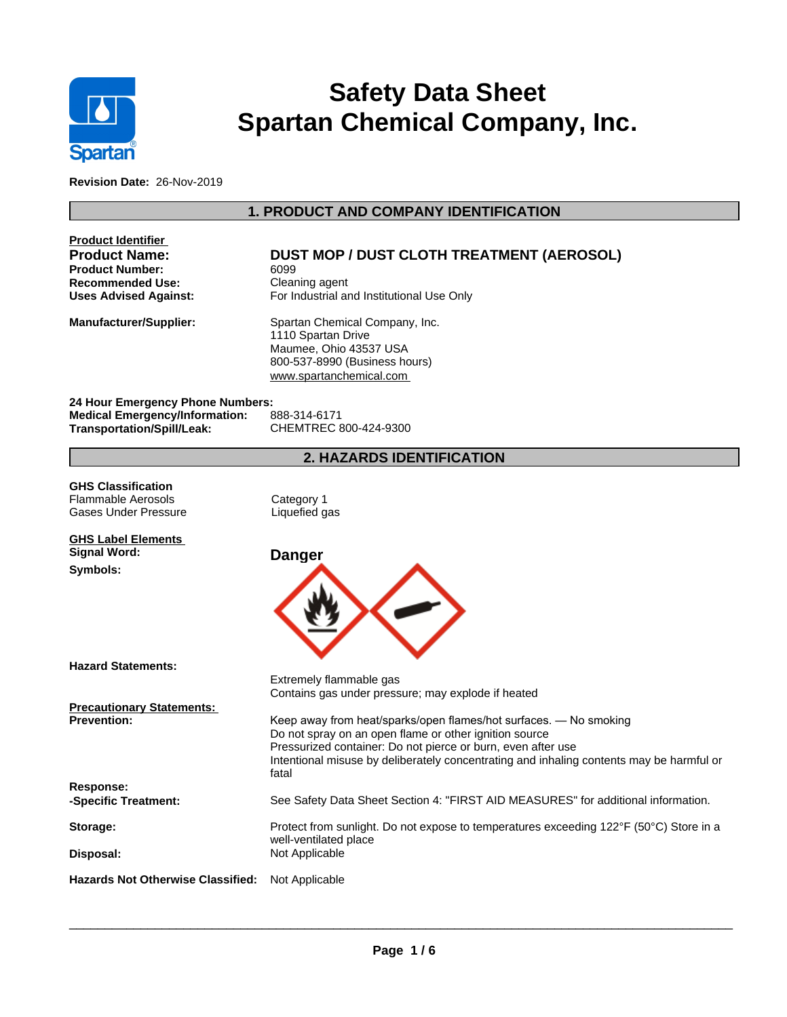

# **Safety Data Sheet Spartan Chemical Company, Inc.**

**Revision Date:** 26-Nov-2019

# **1. PRODUCT AND COMPANY IDENTIFICATION**

| <b>Product Identifier</b><br><b>Product Name:</b><br><b>Product Number:</b><br><b>Recommended Use:</b><br><b>Uses Advised Against:</b> | <b>DUST MOP / DUST CLOTH TREATMENT (AEROSOL)</b><br>6099<br>Cleaning agent<br>For Industrial and Institutional Use Only                                                                                                                                                                                                                                                           |
|----------------------------------------------------------------------------------------------------------------------------------------|-----------------------------------------------------------------------------------------------------------------------------------------------------------------------------------------------------------------------------------------------------------------------------------------------------------------------------------------------------------------------------------|
| <b>Manufacturer/Supplier:</b>                                                                                                          | Spartan Chemical Company, Inc.<br>1110 Spartan Drive<br>Maumee, Ohio 43537 USA<br>800-537-8990 (Business hours)<br>www.spartanchemical.com                                                                                                                                                                                                                                        |
| 24 Hour Emergency Phone Numbers:<br><b>Medical Emergency/Information:</b><br><b>Transportation/Spill/Leak:</b>                         | 888-314-6171<br>CHEMTREC 800-424-9300                                                                                                                                                                                                                                                                                                                                             |
|                                                                                                                                        | <b>2. HAZARDS IDENTIFICATION</b>                                                                                                                                                                                                                                                                                                                                                  |
| <b>GHS Classification</b><br><b>Flammable Aerosols</b><br>Gases Under Pressure                                                         | Category 1<br>Liquefied gas                                                                                                                                                                                                                                                                                                                                                       |
| <b>GHS Label Elements</b><br><b>Signal Word:</b><br>Symbols:                                                                           | <b>Danger</b>                                                                                                                                                                                                                                                                                                                                                                     |
| <b>Hazard Statements:</b>                                                                                                              |                                                                                                                                                                                                                                                                                                                                                                                   |
| <b>Precautionary Statements:</b><br><b>Prevention:</b>                                                                                 | Extremely flammable gas<br>Contains gas under pressure; may explode if heated<br>Keep away from heat/sparks/open flames/hot surfaces. - No smoking<br>Do not spray on an open flame or other ignition source<br>Pressurized container: Do not pierce or burn, even after use<br>Intentional misuse by deliberately concentrating and inhaling contents may be harmful or<br>fatal |
| Response:<br>-Specific Treatment:                                                                                                      | See Safety Data Sheet Section 4: "FIRST AID MEASURES" for additional information.                                                                                                                                                                                                                                                                                                 |
| Storage:                                                                                                                               | Protect from sunlight. Do not expose to temperatures exceeding 122°F (50°C) Store in a<br>well-ventilated place                                                                                                                                                                                                                                                                   |
| Disposal:                                                                                                                              | Not Applicable                                                                                                                                                                                                                                                                                                                                                                    |
| <b>Hazards Not Otherwise Classified:</b>                                                                                               | Not Applicable                                                                                                                                                                                                                                                                                                                                                                    |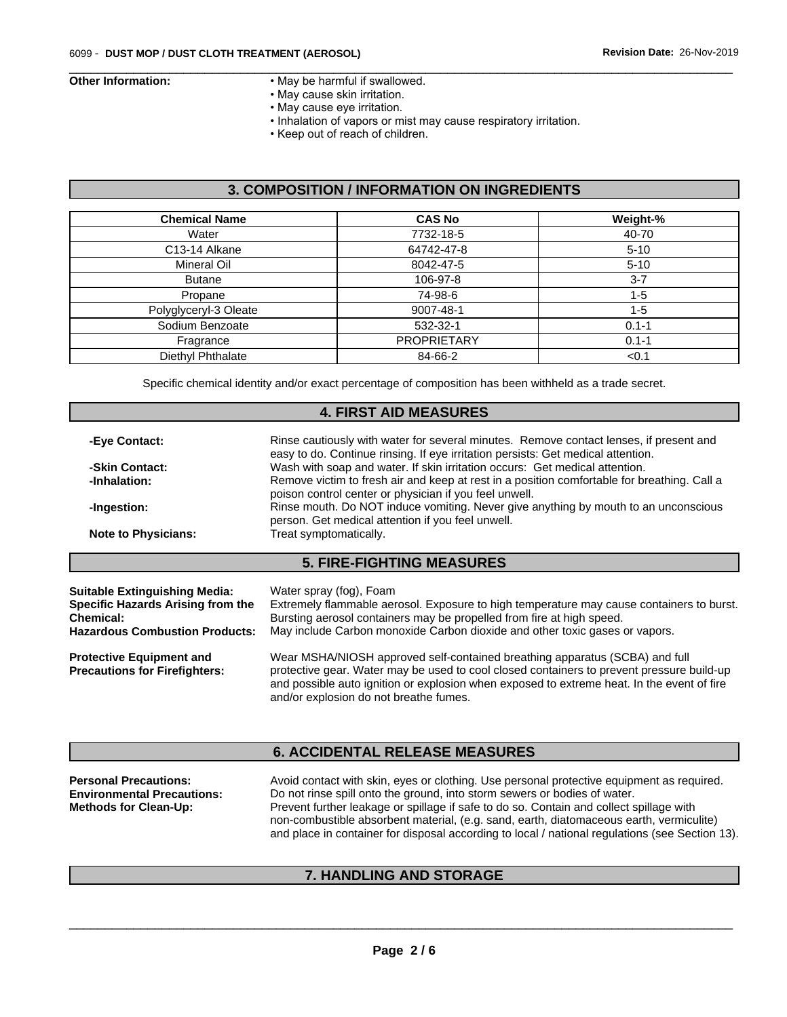- **Other Information:** May be harmful if swallowed.
	- May cause skin irritation.
	- May cause eye irritation.
	- Inhalation of vapors or mist may cause respiratory irritation.

 $\overline{\phantom{a}}$  ,  $\overline{\phantom{a}}$  ,  $\overline{\phantom{a}}$  ,  $\overline{\phantom{a}}$  ,  $\overline{\phantom{a}}$  ,  $\overline{\phantom{a}}$  ,  $\overline{\phantom{a}}$  ,  $\overline{\phantom{a}}$  ,  $\overline{\phantom{a}}$  ,  $\overline{\phantom{a}}$  ,  $\overline{\phantom{a}}$  ,  $\overline{\phantom{a}}$  ,  $\overline{\phantom{a}}$  ,  $\overline{\phantom{a}}$  ,  $\overline{\phantom{a}}$  ,  $\overline{\phantom{a}}$ 

• Keep out of reach of children.

# **3. COMPOSITION / INFORMATION ON INGREDIENTS**

| <b>Chemical Name</b>  | <b>CAS No</b>      | Weight-%  |
|-----------------------|--------------------|-----------|
| Water                 | 7732-18-5          | 40-70     |
| C13-14 Alkane         | 64742-47-8         | $5 - 10$  |
| Mineral Oil           | 8042-47-5          | $5 - 10$  |
| <b>Butane</b>         | 106-97-8           | $3 - 7$   |
| Propane               | 74-98-6            | $1 - 5$   |
| Polyglyceryl-3 Oleate | 9007-48-1          | $1 - 5$   |
| Sodium Benzoate       | 532-32-1           | $0.1 - 1$ |
| Fragrance             | <b>PROPRIETARY</b> | $0.1 - 1$ |
| Diethyl Phthalate     | 84-66-2            | < 0.1     |

Specific chemical identity and/or exact percentage of composition has been withheld as a trade secret.

## **4. FIRST AID MEASURES**

| Wash with soap and water. If skin irritation occurs: Get medical attention.<br>-Skin Contact:<br>-Inhalation:<br>poison control center or physician if you feel unwell.<br>-Ingestion: | -Eye Contact: | Rinse cautiously with water for several minutes. Remove contact lenses, if present and<br>easy to do. Continue rinsing. If eye irritation persists: Get medical attention. |
|----------------------------------------------------------------------------------------------------------------------------------------------------------------------------------------|---------------|----------------------------------------------------------------------------------------------------------------------------------------------------------------------------|
|                                                                                                                                                                                        |               |                                                                                                                                                                            |
|                                                                                                                                                                                        |               | Remove victim to fresh air and keep at rest in a position comfortable for breathing. Call a                                                                                |
|                                                                                                                                                                                        |               | Rinse mouth. Do NOT induce vomiting. Never give anything by mouth to an unconscious<br>person. Get medical attention if you feel unwell.                                   |
| <b>Note to Physicians:</b><br>Treat symptomatically.                                                                                                                                   |               |                                                                                                                                                                            |
|                                                                                                                                                                                        |               | <b>5. FIRE-FIGHTING MEASURES</b>                                                                                                                                           |

| <b>Suitable Extinguishing Media:</b>  | Water spray (fog), Foam                                                                                                              |
|---------------------------------------|--------------------------------------------------------------------------------------------------------------------------------------|
| Specific Hazards Arising from the     | Extremely flammable aerosol. Exposure to high temperature may cause containers to burst.                                             |
| <b>Chemical:</b>                      | Bursting aerosol containers may be propelled from fire at high speed.                                                                |
| <b>Hazardous Combustion Products:</b> | May include Carbon monoxide Carbon dioxide and other toxic gases or vapors.                                                          |
| <b>Protective Equipment and</b>       | Wear MSHA/NIOSH approved self-contained breathing apparatus (SCBA) and full                                                          |
| <b>Precautions for Firefighters:</b>  | protective gear. Water may be used to cool closed containers to prevent pressure build-up                                            |
|                                       | and possible auto ignition or explosion when exposed to extreme heat. In the event of fire<br>and/or explosion do not breathe fumes. |

# **6. ACCIDENTAL RELEASE MEASURES**

| Avoid contact with skin, eyes or clothing. Use personal protective equipment as required.       |
|-------------------------------------------------------------------------------------------------|
| Do not rinse spill onto the ground, into storm sewers or bodies of water.                       |
| Prevent further leakage or spillage if safe to do so. Contain and collect spillage with         |
| non-combustible absorbent material, (e.g. sand, earth, diatomaceous earth, vermiculite)         |
| and place in container for disposal according to local / national regulations (see Section 13). |
|                                                                                                 |

# **7. HANDLING AND STORAGE**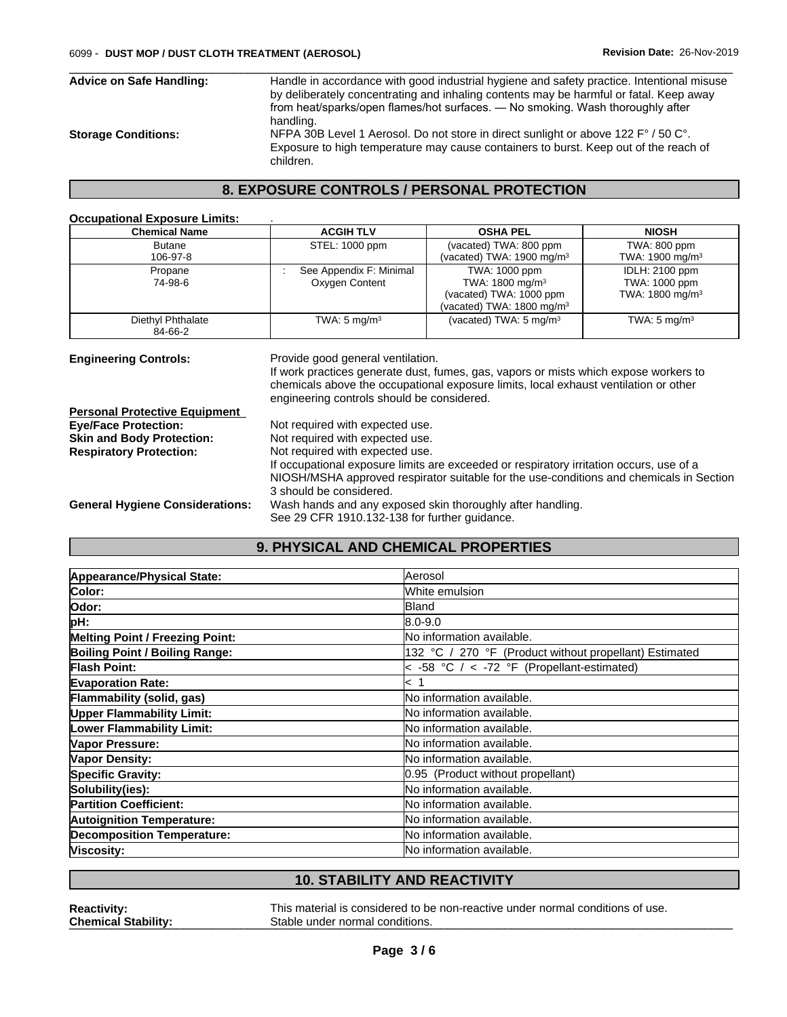children.

**Occupational Exposure Limits:** .

 $\overline{\phantom{a}}$  ,  $\overline{\phantom{a}}$  ,  $\overline{\phantom{a}}$  ,  $\overline{\phantom{a}}$  ,  $\overline{\phantom{a}}$  ,  $\overline{\phantom{a}}$  ,  $\overline{\phantom{a}}$  ,  $\overline{\phantom{a}}$  ,  $\overline{\phantom{a}}$  ,  $\overline{\phantom{a}}$  ,  $\overline{\phantom{a}}$  ,  $\overline{\phantom{a}}$  ,  $\overline{\phantom{a}}$  ,  $\overline{\phantom{a}}$  ,  $\overline{\phantom{a}}$  ,  $\overline{\phantom{a}}$ **Advice on Safe Handling:** Handle in accordance with good industrial hygiene and safety practice. Intentional misuse by deliberately concentrating and inhaling contents may be harmful or fatal. Keep away from heat/sparks/open flames/hot surfaces. — No smoking. Wash thoroughly after handling. **Storage Conditions:** NFPA 30B Level 1 Aerosol.Do not store in direct sunlight or above 122 F° / 50 C°. Exposure to high temperature may cause containers to burst. Keep out of the reach of

#### **8. EXPOSURE CONTROLS / PERSONAL PROTECTION**

| <b>Chemical Name</b>                   | <b>ACGIH TLV</b>                                                                                                                                                                                                                                 | <b>OSHA PEL</b>                                                                      | <b>NIOSH</b>                |  |
|----------------------------------------|--------------------------------------------------------------------------------------------------------------------------------------------------------------------------------------------------------------------------------------------------|--------------------------------------------------------------------------------------|-----------------------------|--|
| <b>Butane</b>                          | STEL: 1000 ppm                                                                                                                                                                                                                                   | (vacated) TWA: 800 ppm                                                               | TWA: 800 ppm                |  |
| 106-97-8                               |                                                                                                                                                                                                                                                  | (vacated) TWA: 1900 mg/m <sup>3</sup>                                                | TWA: 1900 mg/m <sup>3</sup> |  |
| Propane                                | See Appendix F: Minimal                                                                                                                                                                                                                          | TWA: 1000 ppm                                                                        | <b>IDLH: 2100 ppm</b>       |  |
| 74-98-6                                | Oxygen Content                                                                                                                                                                                                                                   | TWA: 1800 mg/m <sup>3</sup>                                                          | TWA: 1000 ppm               |  |
|                                        |                                                                                                                                                                                                                                                  | (vacated) TWA: 1000 ppm<br>(vacated) TWA: 1800 mg/m <sup>3</sup>                     | TWA: $1800 \text{ mg/m}^3$  |  |
| Diethyl Phthalate<br>84-66-2           | TWA: $5 \text{ mg/m}^3$                                                                                                                                                                                                                          | (vacated) TWA: $5 \text{ mg/m}^3$                                                    | TWA: $5 \text{ mg/m}^3$     |  |
| <b>Personal Protective Equipment</b>   | engineering controls should be considered.                                                                                                                                                                                                       | chemicals above the occupational exposure limits, local exhaust ventilation or other |                             |  |
| <b>Eye/Face Protection:</b>            | Not required with expected use.                                                                                                                                                                                                                  |                                                                                      |                             |  |
| <b>Skin and Body Protection:</b>       | Not required with expected use.                                                                                                                                                                                                                  |                                                                                      |                             |  |
| <b>Respiratory Protection:</b>         | Not required with expected use.<br>If occupational exposure limits are exceeded or respiratory irritation occurs, use of a<br>NIOSH/MSHA approved respirator suitable for the use-conditions and chemicals in Section<br>3 should be considered. |                                                                                      |                             |  |
| <b>General Hygiene Considerations:</b> | Wash hands and any exposed skin thoroughly after handling.<br>See 29 CFR 1910.132-138 for further guidance.                                                                                                                                      |                                                                                      |                             |  |

# **9. PHYSICAL AND CHEMICAL PROPERTIES**

| Appearance/Physical State:             | Aerosol                                                |
|----------------------------------------|--------------------------------------------------------|
| Color:                                 | White emulsion                                         |
| Odor:                                  | Bland                                                  |
| pH:                                    | 8.0-9.0                                                |
| <b>Melting Point / Freezing Point:</b> | No information available.                              |
| Boiling Point / Boiling Range:         | 132 °C / 270 °F (Product without propellant) Estimated |
| <b>Flash Point:</b>                    | < -58 °C $/$ < -72 °F (Propellant-estimated)           |
| <b>Evaporation Rate:</b>               | $\,<\,$                                                |
| Flammability (solid, gas)              | No information available.                              |
| <b>Upper Flammability Limit:</b>       | No information available.                              |
| Lower Flammability Limit:              | No information available.                              |
| Vapor Pressure:                        | No information available.                              |
| <b>Vapor Density:</b>                  | No information available.                              |
| <b>Specific Gravity:</b>               | 0.95 (Product without propellant)                      |
| Solubility(ies):                       | No information available.                              |
| <b>Partition Coefficient:</b>          | No information available.                              |
| <b>Autoignition Temperature:</b>       | No information available.                              |
| <b>Decomposition Temperature:</b>      | No information available.                              |
| Viscosity:                             | <b>INo information available.</b>                      |

# **10. STABILITY AND REACTIVITY**

**Reactivity:** This material is considered to be non-reactive under normal conditions of use. **Chemical Stability: Chemical Stability: Stable under normal conditions.**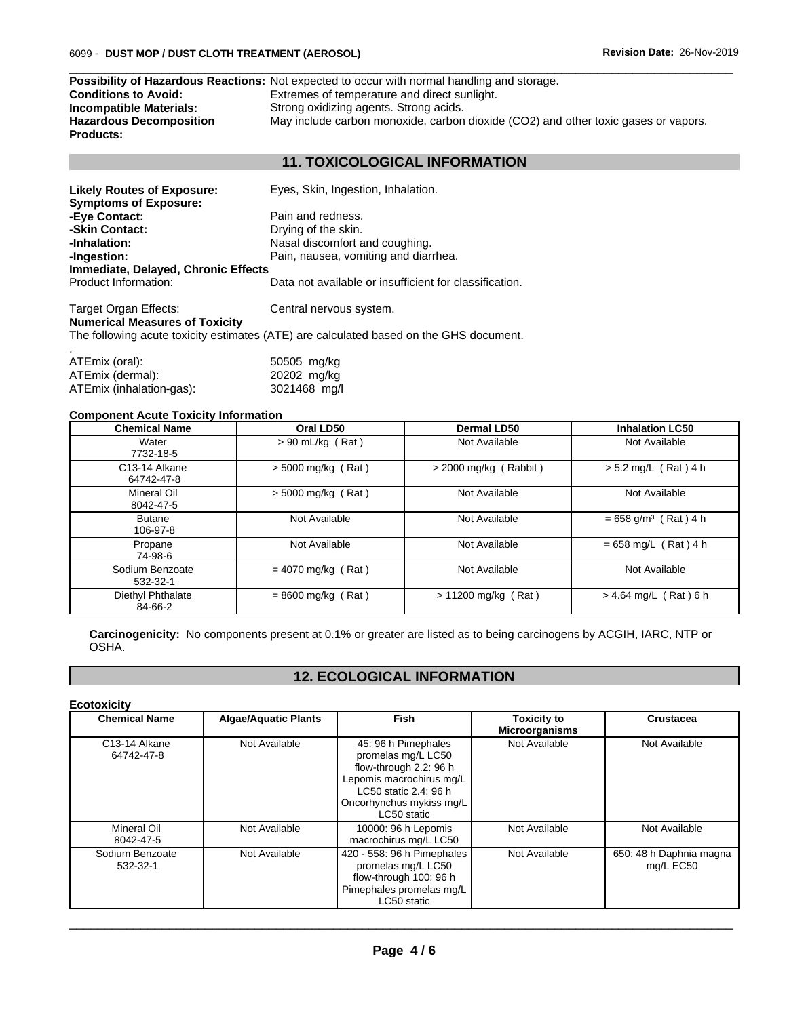|                                | <b>Possibility of Hazardous Reactions:</b> Not expected to occur with normal handling and storage. |
|--------------------------------|----------------------------------------------------------------------------------------------------|
| <b>Conditions to Avoid:</b>    | Extremes of temperature and direct sunlight.                                                       |
| Incompatible Materials:        | Strong oxidizing agents. Strong acids.                                                             |
| <b>Hazardous Decomposition</b> | May include carbon monoxide, carbon dioxide (CO2) and other toxic gases or vapors.                 |
| <b>Products:</b>               |                                                                                                    |

# **11. TOXICOLOGICAL INFORMATION**

 $\overline{\phantom{a}}$  ,  $\overline{\phantom{a}}$  ,  $\overline{\phantom{a}}$  ,  $\overline{\phantom{a}}$  ,  $\overline{\phantom{a}}$  ,  $\overline{\phantom{a}}$  ,  $\overline{\phantom{a}}$  ,  $\overline{\phantom{a}}$  ,  $\overline{\phantom{a}}$  ,  $\overline{\phantom{a}}$  ,  $\overline{\phantom{a}}$  ,  $\overline{\phantom{a}}$  ,  $\overline{\phantom{a}}$  ,  $\overline{\phantom{a}}$  ,  $\overline{\phantom{a}}$  ,  $\overline{\phantom{a}}$ 

| <b>Likely Routes of Exposure:</b><br><b>Symptoms of Exposure:</b> | Eyes, Skin, Ingestion, Inhalation.                                                     |
|-------------------------------------------------------------------|----------------------------------------------------------------------------------------|
| -Eye Contact:                                                     | Pain and redness.                                                                      |
| -Skin Contact:                                                    | Drying of the skin.                                                                    |
| -Inhalation:                                                      | Nasal discomfort and coughing.                                                         |
| -Ingestion:                                                       | Pain, nausea, vomiting and diarrhea.                                                   |
| Immediate, Delayed, Chronic Effects                               |                                                                                        |
| Product Information:                                              | Data not available or insufficient for classification.                                 |
| Target Organ Effects:<br><b>Numerical Measures of Toxicity</b>    | Central nervous system.                                                                |
|                                                                   | The following acute toxicity estimates (ATE) are calculated based on the GHS document. |

| ATEmix (oral):           | 50505 mg/kg  |
|--------------------------|--------------|
| ATEmix (dermal):         | 20202 mg/kg  |
| ATEmix (inhalation-gas): | 3021468 mg/l |

#### **Component Acute Toxicity Information**

| <b>Chemical Name</b>                     | Oral LD50            | Dermal LD50             | <b>Inhalation LC50</b>             |
|------------------------------------------|----------------------|-------------------------|------------------------------------|
| Water<br>7732-18-5                       | $> 90$ mL/kg (Rat)   | Not Available           | Not Available                      |
| C <sub>13</sub> -14 Alkane<br>64742-47-8 | $>$ 5000 mg/kg (Rat) | $>$ 2000 mg/kg (Rabbit) | $> 5.2$ mg/L (Rat) 4 h             |
| Mineral Oil<br>8042-47-5                 | $>$ 5000 mg/kg (Rat) | Not Available           | Not Available                      |
| <b>Butane</b><br>106-97-8                | Not Available        | Not Available           | $= 658$ g/m <sup>3</sup> (Rat) 4 h |
| Propane<br>74-98-6                       | Not Available        | Not Available           | $= 658$ mg/L (Rat) 4 h             |
| Sodium Benzoate<br>532-32-1              | $= 4070$ mg/kg (Rat) | Not Available           | Not Available                      |
| Diethyl Phthalate<br>84-66-2             | $= 8600$ mg/kg (Rat) | $> 11200$ mg/kg (Rat)   | $> 4.64$ mg/L (Rat) 6 h            |

**Carcinogenicity:** No components present at 0.1% or greater are listed as to being carcinogens by ACGIH, IARC, NTP or OSHA.

# **12. ECOLOGICAL INFORMATION**

#### **Ecotoxicity**

| <b>Chemical Name</b>                     | <b>Algae/Aquatic Plants</b> | Fish                                                                                                                                                                | <b>Toxicity to</b><br><b>Microorganisms</b> | Crustacea                            |
|------------------------------------------|-----------------------------|---------------------------------------------------------------------------------------------------------------------------------------------------------------------|---------------------------------------------|--------------------------------------|
| C <sub>13</sub> -14 Alkane<br>64742-47-8 | Not Available               | 45: 96 h Pimephales<br>promelas mg/L LC50<br>flow-through 2.2: 96 h<br>Lepomis macrochirus mg/L<br>LC50 static 2.4: 96 h<br>Oncorhynchus mykiss mg/L<br>LC50 static | Not Available                               | Not Available                        |
| Mineral Oil<br>8042-47-5                 | Not Available               | 10000: 96 h Lepomis<br>macrochirus mg/L LC50                                                                                                                        | Not Available                               | Not Available                        |
| Sodium Benzoate<br>532-32-1              | Not Available               | 420 - 558: 96 h Pimephales<br>promelas mg/L LC50<br>flow-through 100: 96 h<br>Pimephales promelas mg/L<br>LC50 static                                               | Not Available                               | 650: 48 h Daphnia magna<br>mg/L EC50 |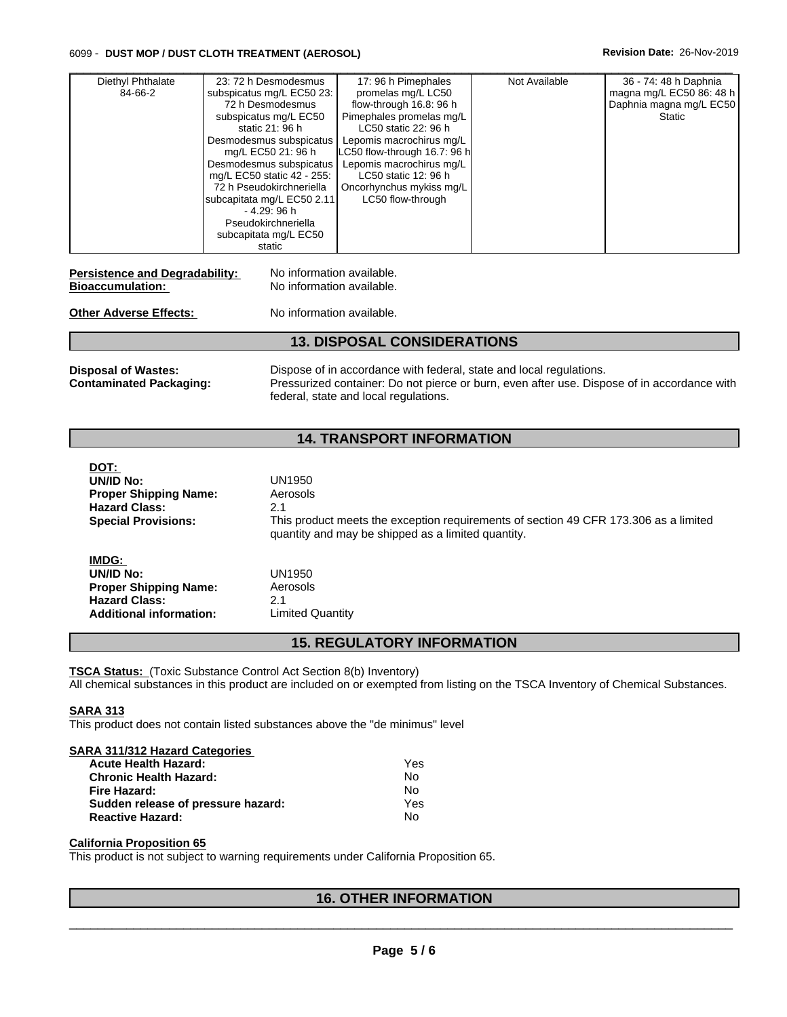#### 6099 - **DUST MOP / DUST CLOTH TREATMENT (AEROSOL) Revision Date:** 26-Nov-2019

| Diethyl Phthalate | 23: 72 h Desmodesmus                     | 17: 96 h Pimephales                              | Not Available | 36 - 74: 48 h Daphnia    |
|-------------------|------------------------------------------|--------------------------------------------------|---------------|--------------------------|
| 84-66-2           | subspicatus mg/L EC50 23:                | promelas mg/L LC50                               |               | magna mg/L EC50 86: 48 h |
|                   | 72 h Desmodesmus                         | flow-through 16.8: 96 h                          |               | Daphnia magna mg/L EC50  |
|                   | subspicatus mg/L EC50<br>static 21: 96 h | Pimephales promelas mg/L<br>LC50 static 22: 96 h |               | Static                   |
|                   | Desmodesmus subspicatus                  | Lepomis macrochirus mg/L                         |               |                          |
|                   | mg/L EC50 21: 96 h                       | LC50 flow-through 16.7: 96 h                     |               |                          |
|                   | Desmodesmus subspicatus                  | Lepomis macrochirus mg/L                         |               |                          |
|                   | mg/L EC50 static 42 - 255:               | LC50 static 12: 96 h                             |               |                          |
|                   | 72 h Pseudokirchneriella                 | Oncorhynchus mykiss mg/L                         |               |                          |
|                   | subcapitata mg/L EC50 2.11               | LC50 flow-through                                |               |                          |
|                   | - 4.29: 96 h                             |                                                  |               |                          |
|                   | Pseudokirchneriella                      |                                                  |               |                          |
|                   | subcapitata mg/L EC50                    |                                                  |               |                          |
|                   | static                                   |                                                  |               |                          |

**Personal Degradability:** No information available. **Bioaccumulation:** No information available.

**Other Adverse Effects:** No information available.

## **13. DISPOSAL CONSIDERATIONS**

**Disposal of Wastes:** Dispose of in accordance with federal, state and local regulations. **Contaminated Packaging:** Pressurized container: Do not pierce or burn, even after use. Dispose of in accordance with federal, state and local regulations.

# **14. TRANSPORT INFORMATION**

| ו טע.                          |                                                                                                                                            |
|--------------------------------|--------------------------------------------------------------------------------------------------------------------------------------------|
| UN/ID No:                      | UN1950                                                                                                                                     |
| <b>Proper Shipping Name:</b>   | Aerosols                                                                                                                                   |
| <b>Hazard Class:</b>           | 2.1                                                                                                                                        |
| <b>Special Provisions:</b>     | This product meets the exception requirements of section 49 CFR 173.306 as a limited<br>quantity and may be shipped as a limited quantity. |
| IMDG:                          |                                                                                                                                            |
| UN/ID No:                      | UN1950                                                                                                                                     |
| <b>Proper Shipping Name:</b>   | Aerosols                                                                                                                                   |
| <b>Hazard Class:</b>           | 2.1                                                                                                                                        |
| <b>Additional information:</b> | Limited Quantity                                                                                                                           |
|                                |                                                                                                                                            |

#### **15. REGULATORY INFORMATION**

**TSCA Status:** (Toxic Substance Control Act Section 8(b) Inventory) All chemical substances in this product are included on or exempted from listing on the TSCA Inventory of Chemical Substances.

#### **SARA 313**

**DOT:** 

This product does not contain listed substances above the "de minimus" level

#### **SARA 311/312 Hazard Categories**

| <b>Acute Health Hazard:</b>        | Yes |
|------------------------------------|-----|
| <b>Chronic Health Hazard:</b>      | No  |
| Fire Hazard:                       | No. |
| Sudden release of pressure hazard: | Yes |
| <b>Reactive Hazard:</b>            | No. |

#### **California Proposition 65**

This product is not subject to warning requirements under California Proposition 65.

# **16. OTHER INFORMATION**